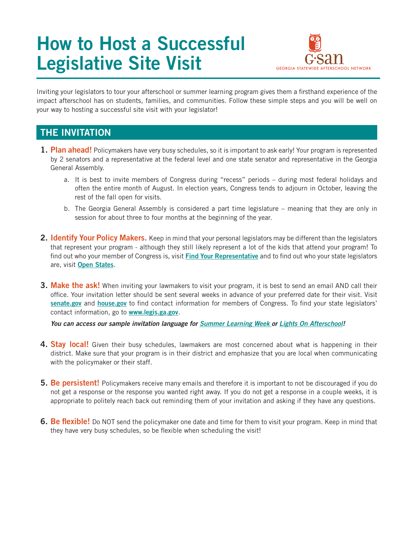# How to Host a Successful Legislative Site Visit



Inviting your legislators to tour your afterschool or summer learning program gives them a firsthand experience of the impact afterschool has on students, families, and communities. Follow these simple steps and you will be well on your way to hosting a successful site visit with your legislator!

## THE INVITATION

- **1. Plan ahead!** Policymakers have very busy schedules, so it is important to ask early! Your program is represented by 2 senators and a representative at the federal level and one state senator and representative in the Georgia General Assembly.
	- a. It is best to invite members of Congress during "recess" periods during most federal holidays and often the entire month of August. In election years, Congress tends to adjourn in October, leaving the rest of the fall open for visits.
	- b. The Georgia General Assembly is considered a part time legislature meaning that they are only in session for about three to four months at the beginning of the year.
- 2. Identify Your Policy Makers. Keep in mind that your personal legislators may be different than the legislators that represent your program - although they still likely represent a lot of the kids that attend your program! To find out who your member of Congress is, visit Find Your Representative and to find out who your state legislators are, visit Open States.
- **3. Make the ask!** When inviting your lawmakers to visit your program, it is best to send an email AND call their office. Your invitation letter should be sent several weeks in advance of your preferred date for their visit. Visit senate.gov and house.gov to find contact information for members of Congress. To find your state legislators' contact information, go to www.legis.ga.gov.

*You can access our sample invitation language for Summer Learning Week or Lights On Afterschool!*

- 4. Stay local! Given their busy schedules, lawmakers are most concerned about what is happening in their district. Make sure that your program is in their district and emphasize that you are local when communicating with the policymaker or their staff.
- 5. Be persistent! Policymakers receive many emails and therefore it is important to not be discouraged if you do not get a response or the response you wanted right away. If you do not get a response in a couple weeks, it is appropriate to politely reach back out reminding them of your invitation and asking if they have any questions.
- **6. Be flexible!** Do NOT send the policymaker one date and time for them to visit your program. Keep in mind that they have very busy schedules, so be flexible when scheduling the visit!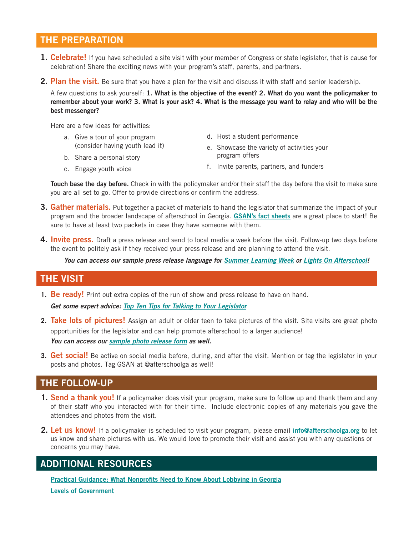### THE PREPARATION

- **1. Celebrate!** If you have scheduled a site visit with your member of Congress or state legislator, that is cause for celebration! Share the exciting news with your program's staff, parents, and partners.
- 2. Plan the visit. Be sure that you have a plan for the visit and discuss it with staff and senior leadership.

A few questions to ask yourself: 1. What is the objective of the event? 2. What do you want the policymaker to remember about your work? 3. What is your ask? 4. What is the message you want to relay and who will be the best messenger?

Here are a few ideas for activities:

- a. Give a tour of your program (consider having youth lead it)
- d. Host a student performance
- e. Showcase the variety of activities your program offers

b. Share a personal story c. Engage youth voice

f. Invite parents, partners, and funders

Touch base the day before. Check in with the policymaker and/or their staff the day before the visit to make sure you are all set to go. Offer to provide directions or confirm the address.

- **3. Gather materials.** Put together a packet of materials to hand the legislator that summarize the impact of your program and the broader landscape of afterschool in Georgia. GSAN's fact sheets are a great place to start! Be sure to have at least two packets in case they have someone with them.
- 4. Invite press. Draft a press release and send to local media a week before the visit. Follow-up two days before the event to politely ask if they received your press release and are planning to attend the visit.

*You can access our sample press release language for Summer Learning Week or Lights On Afterschool!*

#### THE VISIT

**1.** Be ready! Print out extra copies of the run of show and press release to have on hand.

*Get some expert advice: Top Ten Tips for Talking to Your Legislator*

- **2.** Take lots of pictures! Assign an adult or older teen to take pictures of the visit. Site visits are great photo opportunities for the legislator and can help promote afterschool to a larger audience! *You can access our sample photo release form as well.*
- **3. Get social!** Be active on social media before, during, and after the visit. Mention or tag the legislator in your posts and photos. Tag GSAN at @afterschoolga as well!

#### THE FOLLOW-UP

- **1. Send a thank you!** If a policymaker does visit your program, make sure to follow up and thank them and any of their staff who you interacted with for their time. Include electronic copies of any materials you gave the attendees and photos from the visit.
- 2. Let us know! If a policymaker is scheduled to visit your program, please email *info@afterschoolga.org* to let us know and share pictures with us. We would love to promote their visit and assist you with any questions or concerns you may have.

#### ADDITIONAL RESOURCES

Practical Guidance: What Nonprofits Need to Know About Lobbying in Georgia Levels of Government